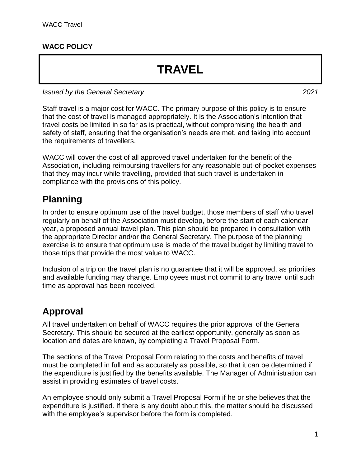#### **WACC POLICY**

# **TRAVEL**

*Issued by the General Secretary 2021*

Staff travel is a major cost for WACC. The primary purpose of this policy is to ensure that the cost of travel is managed appropriately. It is the Association's intention that travel costs be limited in so far as is practical, without compromising the health and safety of staff, ensuring that the organisation's needs are met, and taking into account the requirements of travellers.

WACC will cover the cost of all approved travel undertaken for the benefit of the Association, including reimbursing travellers for any reasonable out-of-pocket expenses that they may incur while travelling, provided that such travel is undertaken in compliance with the provisions of this policy.

#### **Planning**

In order to ensure optimum use of the travel budget, those members of staff who travel regularly on behalf of the Association must develop, before the start of each calendar year, a proposed annual travel plan. This plan should be prepared in consultation with the appropriate Director and/or the General Secretary. The purpose of the planning exercise is to ensure that optimum use is made of the travel budget by limiting travel to those trips that provide the most value to WACC.

Inclusion of a trip on the travel plan is no guarantee that it will be approved, as priorities and available funding may change. Employees must not commit to any travel until such time as approval has been received.

#### **Approval**

All travel undertaken on behalf of WACC requires the prior approval of the General Secretary. This should be secured at the earliest opportunity, generally as soon as location and dates are known, by completing a Travel Proposal Form.

The sections of the Travel Proposal Form relating to the costs and benefits of travel must be completed in full and as accurately as possible, so that it can be determined if the expenditure is justified by the benefits available. The Manager of Administration can assist in providing estimates of travel costs.

An employee should only submit a Travel Proposal Form if he or she believes that the expenditure is justified. If there is any doubt about this, the matter should be discussed with the employee's supervisor before the form is completed.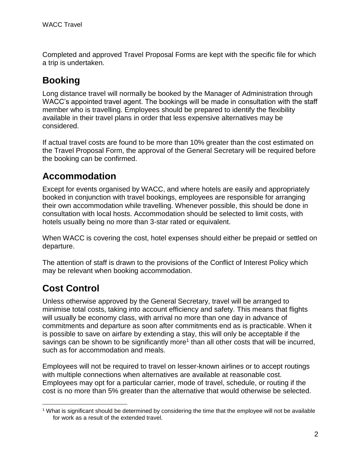Completed and approved Travel Proposal Forms are kept with the specific file for which a trip is undertaken.

# **Booking**

Long distance travel will normally be booked by the Manager of Administration through WACC's appointed travel agent. The bookings will be made in consultation with the staff member who is travelling. Employees should be prepared to identify the flexibility available in their travel plans in order that less expensive alternatives may be considered.

If actual travel costs are found to be more than 10% greater than the cost estimated on the Travel Proposal Form, the approval of the General Secretary will be required before the booking can be confirmed.

#### **Accommodation**

Except for events organised by WACC, and where hotels are easily and appropriately booked in conjunction with travel bookings, employees are responsible for arranging their own accommodation while travelling. Whenever possible, this should be done in consultation with local hosts. Accommodation should be selected to limit costs, with hotels usually being no more than 3-star rated or equivalent.

When WACC is covering the cost, hotel expenses should either be prepaid or settled on departure.

The attention of staff is drawn to the provisions of the Conflict of Interest Policy which may be relevant when booking accommodation.

### **Cost Control**

Unless otherwise approved by the General Secretary, travel will be arranged to minimise total costs, taking into account efficiency and safety. This means that flights will usually be economy class, with arrival no more than one day in advance of commitments and departure as soon after commitments end as is practicable. When it is possible to save on airfare by extending a stay, this will only be acceptable if the savings can be shown to be significantly more<sup>1</sup> than all other costs that will be incurred, such as for accommodation and meals.

Employees will not be required to travel on lesser-known airlines or to accept routings with multiple connections when alternatives are available at reasonable cost. Employees may opt for a particular carrier, mode of travel, schedule, or routing if the cost is no more than 5% greater than the alternative that would otherwise be selected.

 $\overline{a}$ <sup>1</sup> What is significant should be determined by considering the time that the employee will not be available for work as a result of the extended travel.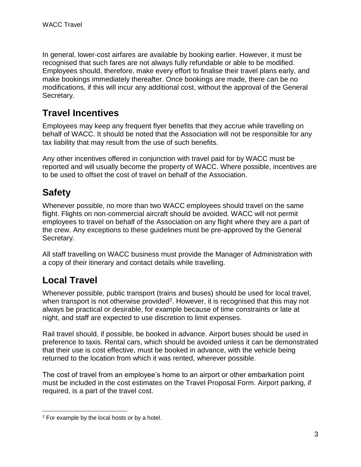In general, lower-cost airfares are available by booking earlier. However, it must be recognised that such fares are not always fully refundable or able to be modified. Employees should, therefore, make every effort to finalise their travel plans early, and make bookings immediately thereafter. Once bookings are made, there can be no modifications, if this will incur any additional cost, without the approval of the General Secretary.

#### **Travel Incentives**

Employees may keep any frequent flyer benefits that they accrue while travelling on behalf of WACC. It should be noted that the Association will not be responsible for any tax liability that may result from the use of such benefits.

Any other incentives offered in conjunction with travel paid for by WACC must be reported and will usually become the property of WACC. Where possible, incentives are to be used to offset the cost of travel on behalf of the Association.

# **Safety**

Whenever possible, no more than two WACC employees should travel on the same flight. Flights on non-commercial aircraft should be avoided. WACC will not permit employees to travel on behalf of the Association on any flight where they are a part of the crew. Any exceptions to these guidelines must be pre-approved by the General Secretary.

All staff travelling on WACC business must provide the Manager of Administration with a copy of their itinerary and contact details while travelling.

### **Local Travel**

 $\overline{a}$ 

Whenever possible, public transport (trains and buses) should be used for local travel, when transport is not otherwise provided<sup>2</sup>. However, it is recognised that this may not always be practical or desirable, for example because of time constraints or late at night, and staff are expected to use discretion to limit expenses.

Rail travel should, if possible, be booked in advance. Airport buses should be used in preference to taxis. Rental cars, which should be avoided unless it can be demonstrated that their use is cost effective, must be booked in advance, with the vehicle being returned to the location from which it was rented, wherever possible.

The cost of travel from an employee's home to an airport or other embarkation point must be included in the cost estimates on the Travel Proposal Form. Airport parking, if required, is a part of the travel cost.

<sup>2</sup> For example by the local hosts or by a hotel.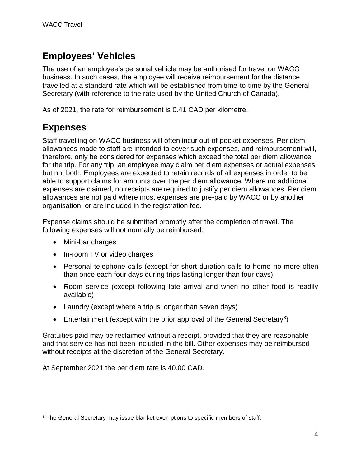# **Employees' Vehicles**

The use of an employee's personal vehicle may be authorised for travel on WACC business. In such cases, the employee will receive reimbursement for the distance travelled at a standard rate which will be established from time-to-time by the General Secretary (with reference to the rate used by the United Church of Canada).

As of 2021, the rate for reimbursement is 0.41 CAD per kilometre.

#### **Expenses**

Staff travelling on WACC business will often incur out-of-pocket expenses. Per diem allowances made to staff are intended to cover such expenses, and reimbursement will, therefore, only be considered for expenses which exceed the total per diem allowance for the trip. For any trip, an employee may claim per diem expenses or actual expenses but not both. Employees are expected to retain records of all expenses in order to be able to support claims for amounts over the per diem allowance. Where no additional expenses are claimed, no receipts are required to justify per diem allowances. Per diem allowances are not paid where most expenses are pre-paid by WACC or by another organisation, or are included in the registration fee.

Expense claims should be submitted promptly after the completion of travel. The following expenses will not normally be reimbursed:

- Mini-bar charges
- In-room TV or video charges
- Personal telephone calls (except for short duration calls to home no more often than once each four days during trips lasting longer than four days)
- Room service (except following late arrival and when no other food is readily available)
- Laundry (except where a trip is longer than seven days)
- Entertainment (except with the prior approval of the General Secretary<sup>3</sup>)

Gratuities paid may be reclaimed without a receipt, provided that they are reasonable and that service has not been included in the bill. Other expenses may be reimbursed without receipts at the discretion of the General Secretary.

At September 2021 the per diem rate is 40.00 CAD.

 $\overline{a}$ <sup>3</sup> The General Secretary may issue blanket exemptions to specific members of staff.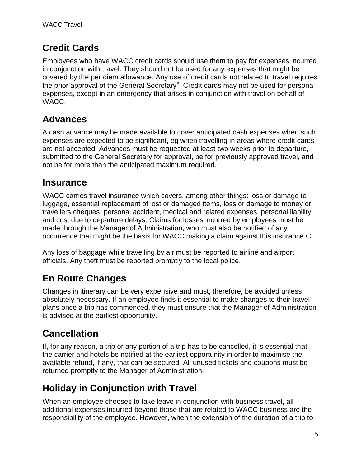# **Credit Cards**

Employees who have WACC credit cards should use them to pay for expenses incurred in conjunction with travel. They should not be used for any expenses that might be covered by the per diem allowance. Any use of credit cards not related to travel requires the prior approval of the General Secretary<sup>3</sup>. Credit cards may not be used for personal expenses, except in an emergency that arises in conjunction with travel on behalf of WACC.

# **Advances**

A cash advance may be made available to cover anticipated cash expenses when such expenses are expected to be significant, eg when travelling in areas where credit cards are not accepted. Advances must be requested at least two weeks prior to departure, submitted to the General Secretary for approval, be for previously approved travel, and not be for more than the anticipated maximum required.

# **Insurance**

WACC carries travel insurance which covers, among other things: loss or damage to luggage, essential replacement of lost or damaged items, loss or damage to money or travellers cheques, personal accident, medical and related expenses, personal liability and cost due to departure delays. Claims for losses incurred by employees must be made through the Manager of Administration, who must also be notified of any occurrence that might be the basis for WACC making a claim against this insurance.C

Any loss of baggage while travelling by air must be reported to airline and airport officials. Any theft must be reported promptly to the local police.

# **En Route Changes**

Changes in itinerary can be very expensive and must, therefore, be avoided unless absolutely necessary. If an employee finds it essential to make changes to their travel plans once a trip has commenced, they must ensure that the Manager of Administration is advised at the earliest opportunity.

# **Cancellation**

If, for any reason, a trip or any portion of a trip has to be cancelled, it is essential that the carrier and hotels be notified at the earliest opportunity in order to maximise the available refund, if any, that can be secured. All unused tickets and coupons must be returned promptly to the Manager of Administration.

# **Holiday in Conjunction with Travel**

When an employee chooses to take leave in conjunction with business travel, all additional expenses incurred beyond those that are related to WACC business are the responsibility of the employee. However, when the extension of the duration of a trip to